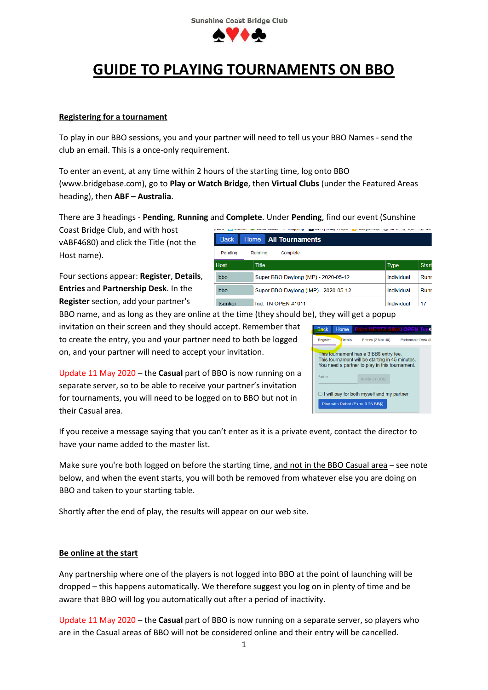

# **GUIDE TO PLAYING TOURNAMENTS ON BBO**

## **Registering for a tournament**

To play in our BBO sessions, you and your partner will need to tell us your BBO Names - send the club an email. This is a once-only requirement.

To enter an event, at any time within 2 hours of the starting time, log onto BBO (www.bridgebase.com), go to **Play or Watch Bridge**, then **Virtual Clubs** (under the Featured Areas heading), then **ABF – Australia**.

There are 3 headings - **Pending**, **Running** and **Complete**. Under **Pending**, find our event (Sunshine

Coast Bridge Club, and with host vABF4680) and click the Title (not the Host name).

Four sections appear: **Register**, **Details**, **Entries** and **Partnership Desk**. In the **Register** section, add your partner's

| <b>Back</b>                                | Home All Tournaments                 |                             |
|--------------------------------------------|--------------------------------------|-----------------------------|
| Pendina                                    | Complete<br>Running                  |                             |
| <b>Host</b>                                | <b>Title</b>                         | <b>Start</b><br><b>Type</b> |
| Super BBO Daylong (MP) - 2020-05-12<br>bbo |                                      | Runr<br>Individual          |
| bbo                                        | Super BBO Daylong (IMP) - 2020-05-12 | Individual<br>Runr          |
| tsankar                                    | Ind. TN OPEN #1011                   | Individual<br>17            |

BBO name, and as long as they are online at the time (they should be), they will get a popup invitation on their screen and they should accept. Remember that to create the entry, you and your partner need to both be logged

on, and your partner will need to accept your invitation.

Update 11 May 2020 – the **Casual** part of BBO is now running on a separate server, so to be able to receive your partner's invitation for tournaments, you will need to be logged on to BBO but not in their Casual area.

| <b>Back</b> | Home           | <b>Pairs HERTZ-SINAI OPEN Tues</b>                                                                                                           |                     |  |
|-------------|----------------|----------------------------------------------------------------------------------------------------------------------------------------------|---------------------|--|
| Register    | <b>Details</b> | Entries (2 Max 40)                                                                                                                           | Partnership Desk (0 |  |
|             |                | This tournament has a 3 BB\$ entry fee.<br>This tournament will be starting in 45 minutes.<br>You need a partner to play in this tournament. |                     |  |
| Partner     |                | Invite (3 BBS)                                                                                                                               |                     |  |
|             |                | $\Box$ I will pay for both myself and my partner                                                                                             |                     |  |
|             |                | Play with Robot (Extra 0.25 BB\$)                                                                                                            |                     |  |

If you receive a message saying that you can't enter as it is a private event, contact the director to have your name added to the master list.

Make sure you're both logged on before the starting time, and not in the BBO Casual area – see note below, and when the event starts, you will both be removed from whatever else you are doing on BBO and taken to your starting table.

Shortly after the end of play, the results will appear on our web site.

## **Be online at the start**

Any partnership where one of the players is not logged into BBO at the point of launching will be dropped – this happens automatically. We therefore suggest you log on in plenty of time and be aware that BBO will log you automatically out after a period of inactivity.

Update 11 May 2020 – the **Casual** part of BBO is now running on a separate server, so players who are in the Casual areas of BBO will not be considered online and their entry will be cancelled.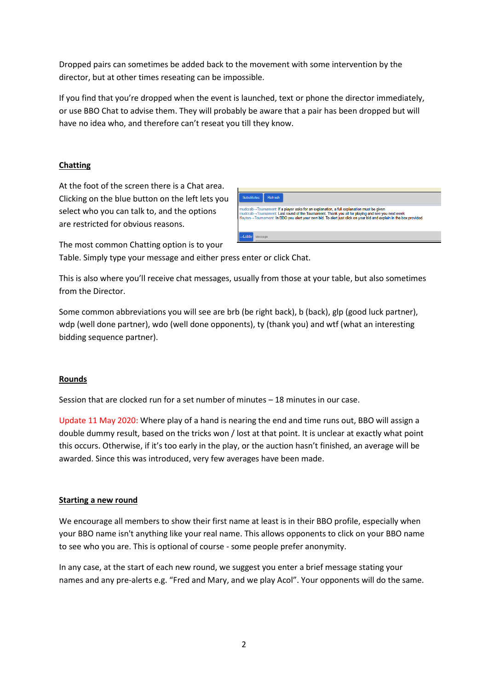Dropped pairs can sometimes be added back to the movement with some intervention by the director, but at other times reseating can be impossible.

If you find that you're dropped when the event is launched, text or phone the director immediately, or use BBO Chat to advise them. They will probably be aware that a pair has been dropped but will have no idea who, and therefore can't reseat you till they know.

# **Chatting**

At the foot of the screen there is a Chat area. Clicking on the blue button on the left lets you select who you can talk to, and the options are restricted for obvious reasons.



The most common Chatting option is to your

Table. Simply type your message and either press enter or click Chat.

This is also where you'll receive chat messages, usually from those at your table, but also sometimes from the Director.

Some common abbreviations you will see are brb (be right back), b (back), glp (good luck partner), wdp (well done partner), wdo (well done opponents), ty (thank you) and wtf (what an interesting bidding sequence partner).

## **Rounds**

Session that are clocked run for a set number of minutes – 18 minutes in our case.

Update 11 May 2020: Where play of a hand is nearing the end and time runs out, BBO will assign a double dummy result, based on the tricks won / lost at that point. It is unclear at exactly what point this occurs. Otherwise, if it's too early in the play, or the auction hasn't finished, an average will be awarded. Since this was introduced, very few averages have been made.

## **Starting a new round**

We encourage all members to show their first name at least is in their BBO profile, especially when your BBO name isn't anything like your real name. This allows opponents to click on your BBO name to see who you are. This is optional of course - some people prefer anonymity.

In any case, at the start of each new round, we suggest you enter a brief message stating your names and any pre-alerts e.g. "Fred and Mary, and we play Acol". Your opponents will do the same.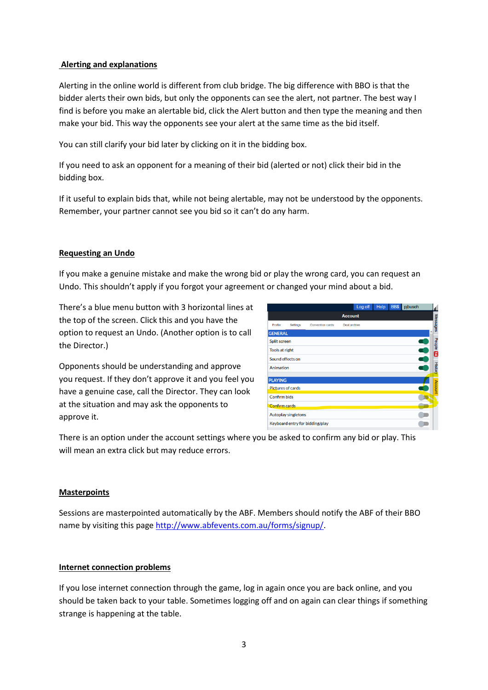## **Alerting and explanations**

Alerting in the online world is different from club bridge. The big difference with BBO is that the bidder alerts their own bids, but only the opponents can see the alert, not partner. The best way I find is before you make an alertable bid, click the Alert button and then type the meaning and then make your bid. This way the opponents see your alert at the same time as the bid itself.

You can still clarify your bid later by clicking on it in the bidding box.

If you need to ask an opponent for a meaning of their bid (alerted or not) click their bid in the bidding box.

If it useful to explain bids that, while not being alertable, may not be understood by the opponents. Remember, your partner cannot see you bid so it can't do any harm.

## **Requesting an Undo**

If you make a genuine mistake and make the wrong bid or play the wrong card, you can request an Undo. This shouldn't apply if you forgot your agreement or changed your mind about a bid.

There's a blue menu button with 3 horizontal lines at the top of the screen. Click this and you have the option to request an Undo. (Another option is to call the Director.)

Opponents should be understanding and approve you request. If they don't approve it and you feel you have a genuine case, call the Director. They can look at the situation and may ask the opponents to approve it.

|                                 |                            |                         | Log off      | Help | <b>BB\$</b> | pjbusch | Ш              |
|---------------------------------|----------------------------|-------------------------|--------------|------|-------------|---------|----------------|
| <b>Account</b>                  |                            |                         |              |      |             |         |                |
| Profile                         | Settings                   | <b>Convention cards</b> | Deal archive |      |             |         | Messages       |
| <b>GENERAL</b>                  |                            |                         |              |      |             |         |                |
|                                 | <b>Split screen</b>        |                         |              |      |             |         |                |
| <b>Tools at right</b>           |                            |                         |              |      |             | F       | People<br>E    |
|                                 | Sound effects on           |                         |              |      |             |         |                |
| Animation                       |                            |                         |              |      |             |         | <b>History</b> |
| <b>PLAYING</b>                  |                            |                         |              |      |             |         |                |
|                                 | <b>Pictures of cards</b>   |                         |              |      |             |         | Account        |
| Confirm bids                    |                            |                         |              |      |             |         |                |
| <b>Confirm cards</b>            |                            |                         |              |      |             |         |                |
|                                 | <b>Autoplay singletons</b> |                         |              |      |             |         |                |
| Keyboard entry for bidding/play |                            |                         |              |      |             |         |                |
|                                 |                            |                         |              |      |             |         |                |

There is an option under the account settings where you be asked to confirm any bid or play. This will mean an extra click but may reduce errors.

#### **Masterpoints**

Sessions are masterpointed automatically by the ABF. Members should notify the ABF of their BBO name by visiting this page [http://www.abfevents.com.au/forms/signup/.](http://www.abfevents.com.au/forms/signup/)

#### **Internet connection problems**

If you lose internet connection through the game, log in again once you are back online, and you should be taken back to your table. Sometimes logging off and on again can clear things if something strange is happening at the table.